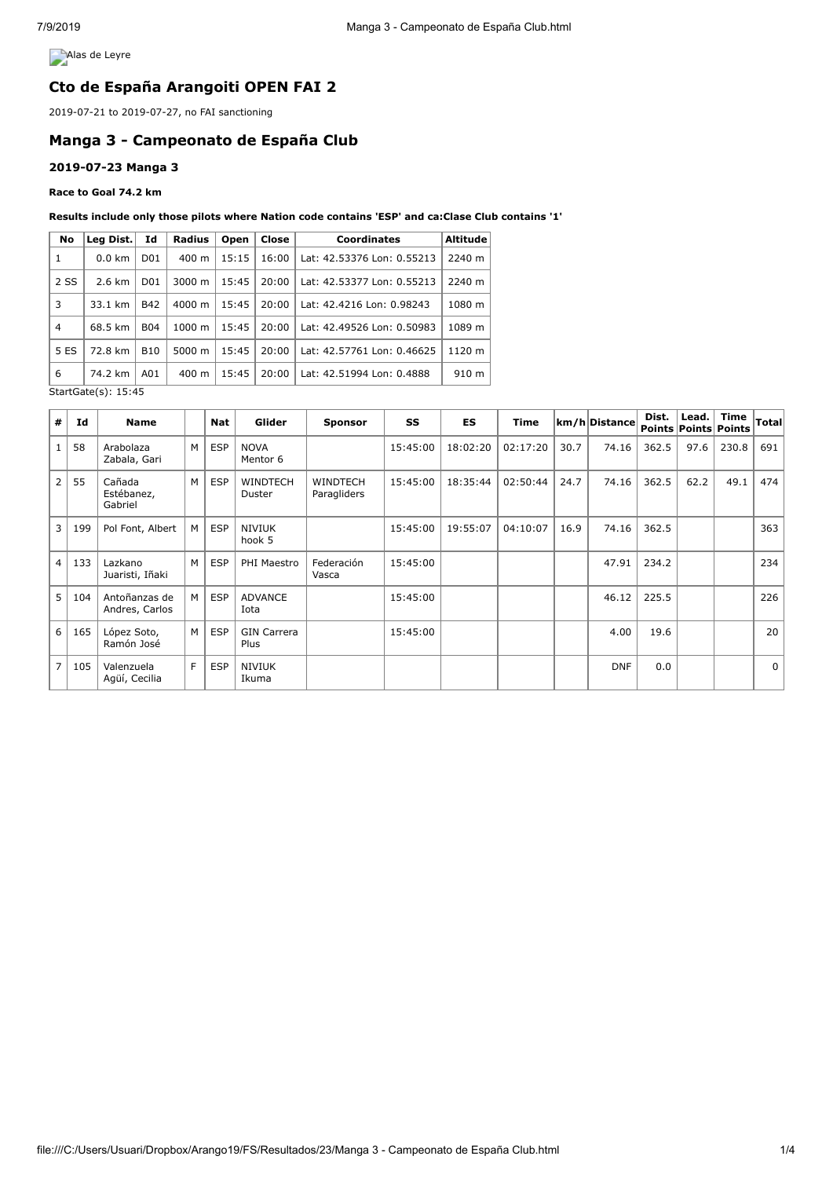**Alas de Leyre** 

## **Cto de España Arangoiti OPEN FAI 2**

2019-07-21 to 2019-07-27, no FAI sanctioning

# **Manga 3 - Campeonato de España Club**

### **2019-07-23 Manga 3**

#### **Race to Goal 74.2 km**

#### **Results include only those pilots where Nation code contains 'ESP' and ca:Clase Club contains '1'**

| No                         | Leg Dist.        | Id                                                                         | Radius                                                         | Open   | Close | Coordinates                | <b>Altitude</b> |  |
|----------------------------|------------------|----------------------------------------------------------------------------|----------------------------------------------------------------|--------|-------|----------------------------|-----------------|--|
| 1                          | $0.0 \text{ km}$ | D <sub>0</sub> 1                                                           | $400 \text{ m}$                                                | 15:15  | 16:00 | Lat: 42.53376 Lon: 0.55213 | 2240 m          |  |
| 2 SS                       | $2.6 \text{ km}$ | 3000 m<br>15:45<br>20:00<br>D <sub>0</sub> 1<br>Lat: 42.53377 Lon: 0.55213 |                                                                | 2240 m |       |                            |                 |  |
| 3                          | 33.1 km          | <b>B42</b>                                                                 | $4000 \; \text{m}$                                             | 15:45  | 20:00 | Lat: 42.4216 Lon: 0.98243  | 1080 m          |  |
| $\overline{4}$             | 68.5 km          | <b>B04</b>                                                                 | $1000 \; m$                                                    | 15:45  | 20:00 | Lat: 42.49526 Lon: 0.50983 | 1089 m          |  |
| 5 ES                       | 72.8 km          | <b>B10</b>                                                                 | 5000 m                                                         | 15:45  | 20:00 | Lat: 42.57761 Lon: 0.46625 | 1120 m          |  |
| 6                          | 74.2 km          | A01                                                                        | 20:00<br>$400 \text{ m}$<br>15:45<br>Lat: 42.51994 Lon: 0.4888 |        | 910 m |                            |                 |  |
| $StartGate(s) \cdot 15.45$ |                  |                                                                            |                                                                |        |       |                            |                 |  |

StartGate(s): 15:45

| #              | Id  | <b>Name</b>                     |                | <b>Nat</b> | Glider                     | <b>Sponsor</b>                 | SS       | <b>ES</b> | Time     |      | km/h Distance | Dist. | Lead. | <b>Time</b><br><b>Points Points Points</b> | <b>Total</b> |
|----------------|-----|---------------------------------|----------------|------------|----------------------------|--------------------------------|----------|-----------|----------|------|---------------|-------|-------|--------------------------------------------|--------------|
|                | 58  | Arabolaza<br>Zabala, Gari       | M <sub>1</sub> | <b>ESP</b> | <b>NOVA</b><br>Mentor 6    |                                | 15:45:00 | 18:02:20  | 02:17:20 | 30.7 | 74.16         | 362.5 | 97.6  | 230.8                                      | 691          |
| $\overline{2}$ | 55  | Cañada<br>Estébanez,<br>Gabriel | M              | <b>ESP</b> | <b>WINDTECH</b><br>Duster  | <b>WINDTECH</b><br>Paragliders | 15:45:00 | 18:35:44  | 02:50:44 | 24.7 | 74.16         | 362.5 | 62.2  | 49.1                                       | 474          |
| 3              | 199 | Pol Font, Albert                | M <sub>1</sub> | <b>ESP</b> | <b>NIVIUK</b><br>hook 5    |                                | 15:45:00 | 19:55:07  | 04:10:07 | 16.9 | 74.16         | 362.5 |       |                                            | 363          |
| $\overline{4}$ | 133 | Lazkano<br>Juaristi, Iñaki      | M              | <b>ESP</b> | PHI Maestro                | Federación<br>Vasca            | 15:45:00 |           |          |      | 47.91         | 234.2 |       |                                            | 234          |
| 5.             | 104 | Antoñanzas de<br>Andres, Carlos | M <sub>1</sub> | <b>ESP</b> | <b>ADVANCE</b><br>Iota     |                                | 15:45:00 |           |          |      | 46.12         | 225.5 |       |                                            | 226          |
| 6              | 165 | López Soto,<br>Ramón José       | M              | <b>ESP</b> | <b>GIN Carrera</b><br>Plus |                                | 15:45:00 |           |          |      | 4.00          | 19.6  |       |                                            | 20           |
| $\overline{7}$ | 105 | Valenzuela<br>Agüí, Cecilia     | F              | <b>ESP</b> | <b>NIVIUK</b><br>Ikuma     |                                |          |           |          |      | <b>DNF</b>    | 0.0   |       |                                            | $\Omega$     |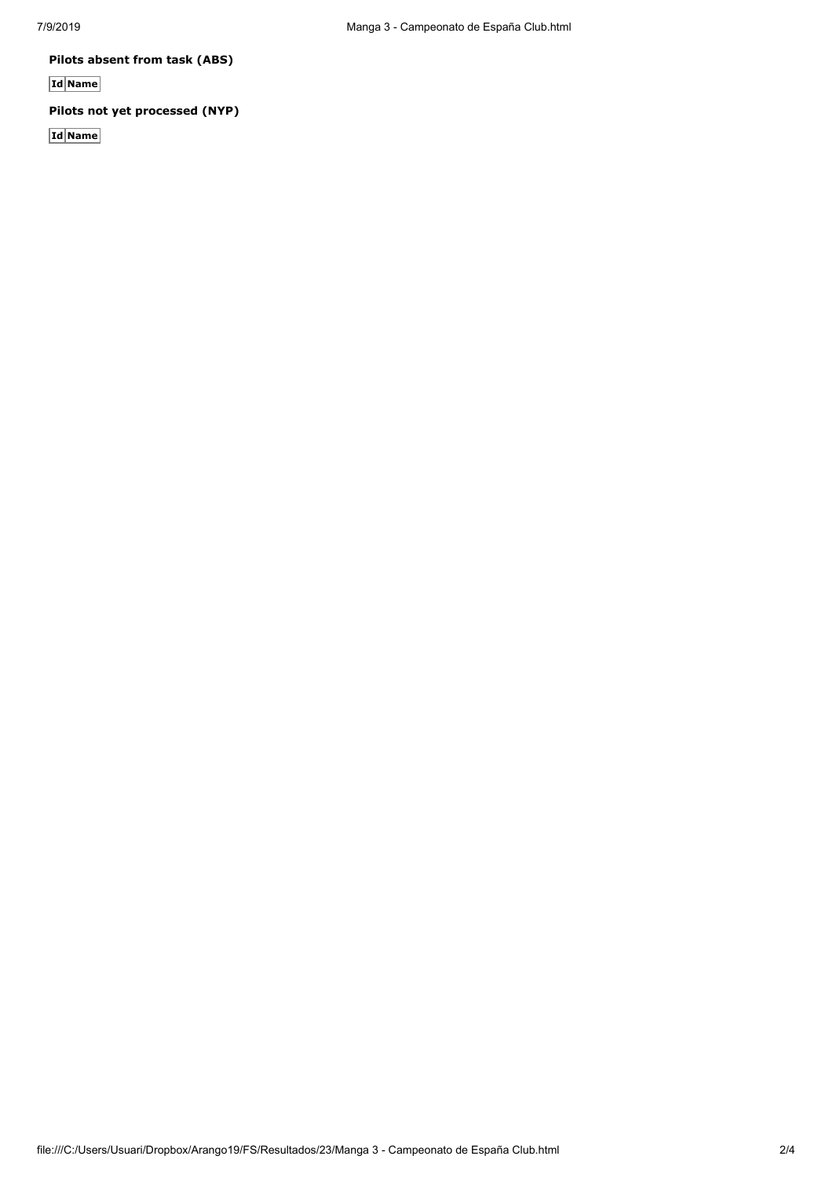**Pilots absent from task (ABS)**

**Id Name**

### **Pilots not yet processed (NYP)**

**Id Name**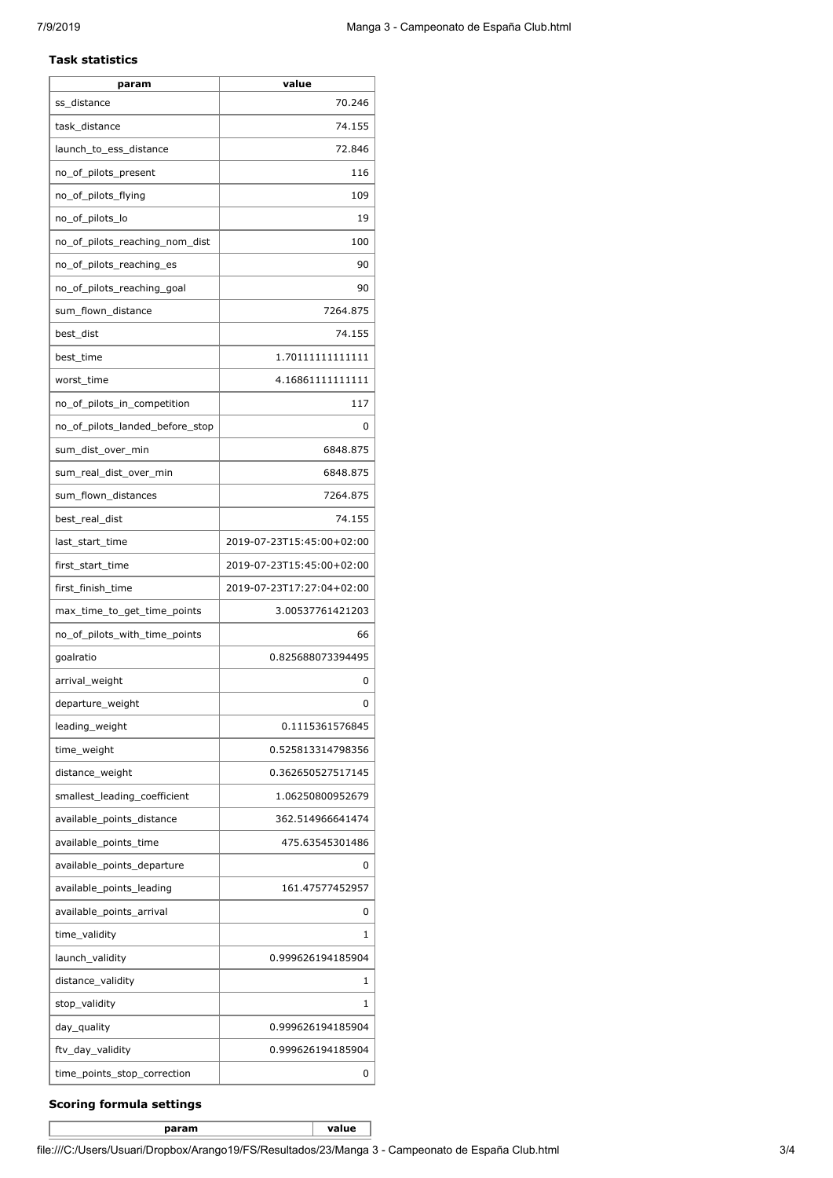#### **Task statistics**

| 70.246<br>ss distance<br>74.155<br>task_distance |
|--------------------------------------------------|
|                                                  |
|                                                  |
| 72.846<br>launch_to_ess_distance                 |
| 116<br>no_of_pilots_present                      |
| no_of_pilots_flying<br>109                       |
| no_of_pilots_lo<br>19                            |
| 100<br>no of pilots reaching nom dist            |
| no_of_pilots_reaching_es<br>90                   |
| no_of_pilots_reaching_goal<br>90                 |
| 7264.875<br>sum_flown_distance                   |
| best_dist<br>74.155                              |
| best_time<br>1.70111111111111                    |
| worst_time<br>4.16861111111111                   |
| 117<br>no_of_pilots_in_competition               |
| no_of_pilots_landed_before_stop<br>0             |
| 6848.875<br>sum_dist_over_min                    |
| 6848.875<br>sum_real_dist_over_min               |
| 7264.875<br>sum_flown_distances                  |
| 74.155<br>best_real_dist                         |
| 2019-07-23T15:45:00+02:00<br>last_start_time     |
| 2019-07-23T15:45:00+02:00<br>first_start_time    |
| 2019-07-23T17:27:04+02:00<br>first_finish_time   |
| 3.00537761421203<br>max_time_to_get_time_points  |
| no_of_pilots_with_time_points<br>66              |
| 0.825688073394495<br>goalratio                   |
| arrival_weight<br>0                              |
| departure_weight<br>0                            |
| leading_weight<br>0.1115361576845                |
| time_weight<br>0.525813314798356                 |
| distance weight<br>0.362650527517145             |
| smallest_leading_coefficient<br>1.06250800952679 |
| available_points_distance<br>362.514966641474    |
| available_points_time<br>475.63545301486         |
| available_points_departure<br>0                  |
| available_points_leading<br>161.47577452957      |
| available_points_arrival<br>0                    |
| time_validity<br>1                               |
| launch_validity<br>0.999626194185904             |
| distance_validity<br>1                           |
| stop_validity<br>1                               |
| day_quality<br>0.999626194185904                 |
| ftv_day_validity<br>0.999626194185904            |
| time_points_stop_correction<br>0                 |

### **Scoring formula settings**

**param value**